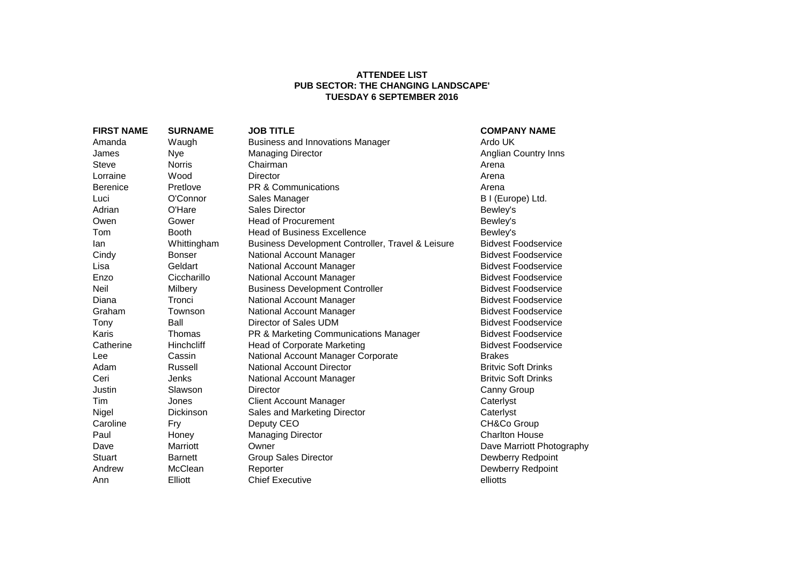## **ATTENDEE LIST PUB SECTOR: THE CHANGING LANDSCAPE' TUESDAY 6 SEPTEMBER 2016**

| <b>FIRST NAME</b> | <b>SURNAME</b>    | <b>JOB TITLE</b>                                  | <b>COMPANY NAME</b>        |
|-------------------|-------------------|---------------------------------------------------|----------------------------|
| Amanda            | Waugh             | <b>Business and Innovations Manager</b>           | Ardo UK                    |
| James             | Nye               | <b>Managing Director</b>                          | Anglian Country Inns       |
| Steve             | <b>Norris</b>     | Chairman                                          | Arena                      |
| Lorraine          | Wood              | <b>Director</b>                                   | Arena                      |
| <b>Berenice</b>   | Pretlove          | <b>PR &amp; Communications</b>                    | Arena                      |
| Luci              | O'Connor          | Sales Manager                                     | B I (Europe) Ltd.          |
| Adrian            | O'Hare            | <b>Sales Director</b>                             | Bewley's                   |
| Owen              | Gower             | <b>Head of Procurement</b>                        | Bewley's                   |
| Tom               | <b>Booth</b>      | <b>Head of Business Excellence</b>                | Bewley's                   |
| lan               | Whittingham       | Business Development Controller, Travel & Leisure | <b>Bidvest Foodservice</b> |
| Cindy             | <b>Bonser</b>     | National Account Manager                          | <b>Bidvest Foodservice</b> |
| Lisa              | Geldart           | National Account Manager                          | <b>Bidvest Foodservice</b> |
| Enzo              | Ciccharillo       | National Account Manager                          | <b>Bidvest Foodservice</b> |
| <b>Neil</b>       | Milbery           | <b>Business Development Controller</b>            | <b>Bidvest Foodservice</b> |
| Diana             | Tronci            | National Account Manager                          | <b>Bidvest Foodservice</b> |
| Graham            | Townson           | National Account Manager                          | <b>Bidvest Foodservice</b> |
| Tony              | Ball              | Director of Sales UDM                             | <b>Bidvest Foodservice</b> |
| Karis             | Thomas            | PR & Marketing Communications Manager             | <b>Bidvest Foodservice</b> |
| Catherine         | <b>Hinchcliff</b> | <b>Head of Corporate Marketing</b>                | <b>Bidvest Foodservice</b> |
| Lee               | Cassin            | National Account Manager Corporate                | <b>Brakes</b>              |
| Adam              | Russell           | <b>National Account Director</b>                  | <b>Britvic Soft Drinks</b> |
| Ceri              | Jenks             | National Account Manager                          | <b>Britvic Soft Drinks</b> |
| Justin            | Slawson           | Director                                          | Canny Group                |
| Tim               | Jones             | <b>Client Account Manager</b>                     | Caterlyst                  |
| Nigel             | Dickinson         | Sales and Marketing Director                      | Caterlyst                  |
| Caroline          | Fry               | Deputy CEO                                        | CH&Co Group                |
| Paul              | Honey             | <b>Managing Director</b>                          | <b>Charlton House</b>      |
| Dave              | Marriott          | Owner                                             | Dave Marriott Photography  |
| Stuart            | <b>Barnett</b>    | <b>Group Sales Director</b>                       | Dewberry Redpoint          |
| Andrew            | McClean           | Reporter                                          | Dewberry Redpoint          |
| Ann               | Elliott           | <b>Chief Executive</b>                            | elliotts                   |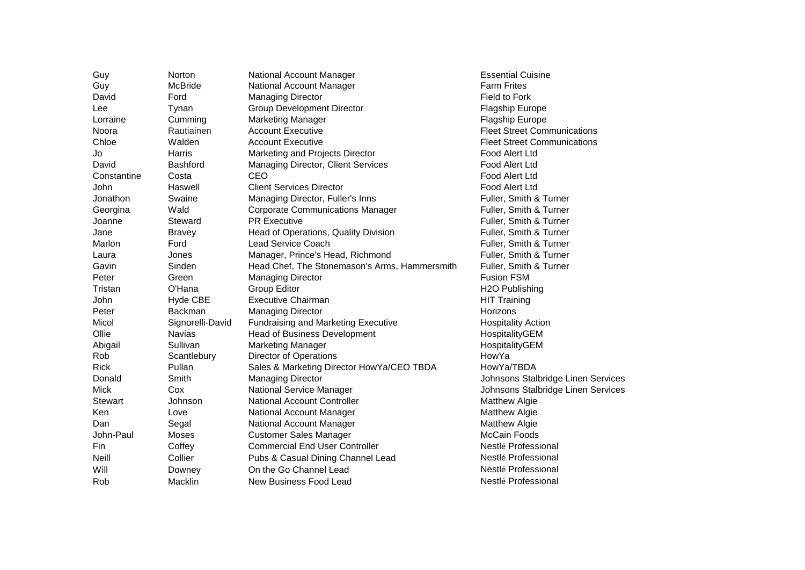| Guy            | Norton           | National Account Manager                      | <b>Essential Cuisine</b>           |
|----------------|------------------|-----------------------------------------------|------------------------------------|
| Guy            | McBride          | National Account Manager                      | <b>Farm Frites</b>                 |
| David          | Ford             | <b>Managing Director</b>                      | Field to Fork                      |
| Lee            | Tynan            | <b>Group Development Director</b>             | <b>Flagship Europe</b>             |
| Lorraine       | Cumming          | <b>Marketing Manager</b>                      | <b>Flagship Europe</b>             |
| Noora          | Rautiainen       | <b>Account Executive</b>                      | <b>Fleet Street Communications</b> |
| Chloe          | Walden           | <b>Account Executive</b>                      | <b>Fleet Street Communications</b> |
| Jo             | Harris           | Marketing and Projects Director               | Food Alert Ltd                     |
| David          | <b>Bashford</b>  | <b>Managing Director, Client Services</b>     | Food Alert Ltd                     |
| Constantine    | Costa            | CEO                                           | Food Alert Ltd                     |
| John           | Haswell          | <b>Client Services Director</b>               | Food Alert Ltd                     |
| Jonathon       | Swaine           | Managing Director, Fuller's Inns              | Fuller, Smith & Turner             |
| Georgina       | Wald             | <b>Corporate Communications Manager</b>       | Fuller, Smith & Turner             |
| Joanne         | Steward          | <b>PR Executive</b>                           | Fuller, Smith & Turner             |
| Jane           | <b>Bravey</b>    | Head of Operations, Quality Division          | Fuller, Smith & Turner             |
| Marlon         | Ford             | Lead Service Coach                            | Fuller, Smith & Turner             |
| Laura          | Jones            | Manager, Prince's Head, Richmond              | Fuller, Smith & Turner             |
| Gavin          | Sinden           | Head Chef, The Stonemason's Arms, Hammersmith | Fuller, Smith & Turner             |
| Peter          | Green            | <b>Managing Director</b>                      | <b>Fusion FSM</b>                  |
| Tristan        | O'Hana           | <b>Group Editor</b>                           | H2O Publishing                     |
| <b>John</b>    | Hyde CBE         | <b>Executive Chairman</b>                     | <b>HIT Training</b>                |
| Peter          | Backman          | <b>Managing Director</b>                      | Horizons                           |
| Micol          | Signorelli-David | <b>Fundraising and Marketing Executive</b>    | <b>Hospitality Action</b>          |
| Ollie          | <b>Navias</b>    | <b>Head of Business Development</b>           | HospitalityGEM                     |
| Abigail        | Sullivan         | <b>Marketing Manager</b>                      | HospitalityGEM                     |
| Rob            | Scantlebury      | <b>Director of Operations</b>                 | HowYa                              |
| <b>Rick</b>    | Pullan           | Sales & Marketing Director HowYa/CEO TBDA     | HowYa/TBDA                         |
| Donald         | Smith            | <b>Managing Director</b>                      | Johnsons Stalbridge Linen Services |
| <b>Mick</b>    | Cox              | National Service Manager                      | Johnsons Stalbridge Linen Services |
| <b>Stewart</b> | Johnson          | <b>National Account Controller</b>            | <b>Matthew Algie</b>               |
| Ken            | Love             | National Account Manager                      | <b>Matthew Algie</b>               |
| Dan            | Segal            | National Account Manager                      | Matthew Algie                      |
| John-Paul      | Moses            | <b>Customer Sales Manager</b>                 | <b>McCain Foods</b>                |
| Fin            | Coffey           | <b>Commercial End User Controller</b>         | Nestlé Professional                |
| Neill          | Collier          | Pubs & Casual Dining Channel Lead             | Nestlé Professional                |
| Will           | Downey           | On the Go Channel Lead                        | Nestlé Professional                |
| Rob            | Macklin          | New Business Food Lead                        | Nestlé Professional                |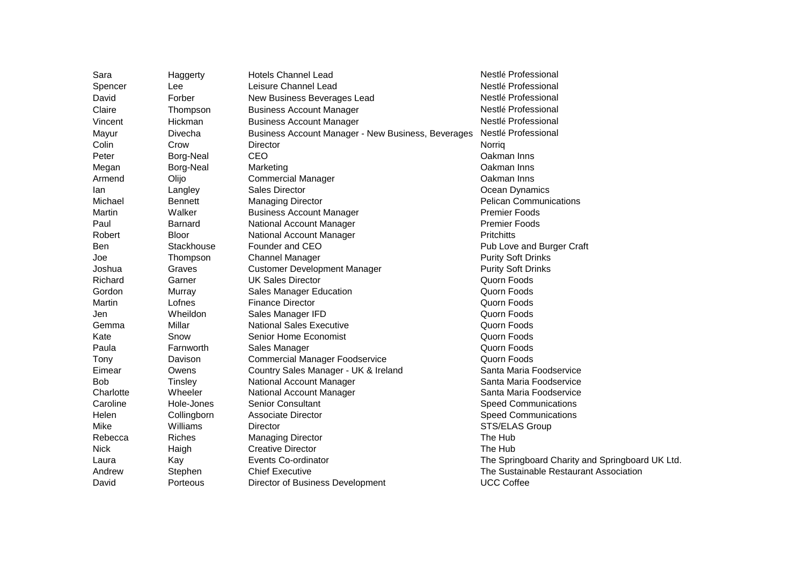| Sara        | Haggerty       | <b>Hotels Channel Lead</b>                         | Nestlé Professional                             |
|-------------|----------------|----------------------------------------------------|-------------------------------------------------|
| Spencer     | Lee            | Leisure Channel Lead                               | Nestlé Professional                             |
| David       | Forber         | New Business Beverages Lead                        | Nestlé Professional                             |
| Claire      | Thompson       | <b>Business Account Manager</b>                    | Nestlé Professional                             |
| Vincent     | Hickman        | <b>Business Account Manager</b>                    | Nestlé Professional                             |
| Mayur       | Divecha        | Business Account Manager - New Business, Beverages | Nestlé Professional                             |
| Colin       | Crow           | Director                                           | Norrig                                          |
| Peter       | Borg-Neal      | CEO                                                | Oakman Inns                                     |
| Megan       | Borg-Neal      | Marketing                                          | Oakman Inns                                     |
| Armend      | Olijo          | <b>Commercial Manager</b>                          | Oakman Inns                                     |
| lan         | Langley        | Sales Director                                     | Ocean Dynamics                                  |
| Michael     | <b>Bennett</b> | <b>Managing Director</b>                           | <b>Pelican Communications</b>                   |
| Martin      | Walker         | <b>Business Account Manager</b>                    | <b>Premier Foods</b>                            |
| Paul        | Barnard        | National Account Manager                           | <b>Premier Foods</b>                            |
| Robert      | <b>Bloor</b>   | National Account Manager                           | <b>Pritchitts</b>                               |
| <b>Ben</b>  | Stackhouse     | Founder and CEO                                    | Pub Love and Burger Craft                       |
| Joe         | Thompson       | <b>Channel Manager</b>                             | <b>Purity Soft Drinks</b>                       |
| Joshua      | Graves         | <b>Customer Development Manager</b>                | <b>Purity Soft Drinks</b>                       |
| Richard     | Garner         | <b>UK Sales Director</b>                           | Quorn Foods                                     |
| Gordon      | Murray         | <b>Sales Manager Education</b>                     | Quorn Foods                                     |
| Martin      | Lofnes         | <b>Finance Director</b>                            | Quorn Foods                                     |
| Jen         | Wheildon       | Sales Manager IFD                                  | Quorn Foods                                     |
| Gemma       | Millar         | <b>National Sales Executive</b>                    | Quorn Foods                                     |
| Kate        | Snow           | Senior Home Economist                              | Quorn Foods                                     |
| Paula       | Farnworth      | Sales Manager                                      | Quorn Foods                                     |
| Tony        | Davison        | <b>Commercial Manager Foodservice</b>              | Quorn Foods                                     |
| Eimear      | Owens          | Country Sales Manager - UK & Ireland               | Santa Maria Foodservice                         |
| <b>Bob</b>  | Tinsley        | National Account Manager                           | Santa Maria Foodservice                         |
| Charlotte   | Wheeler        | National Account Manager                           | Santa Maria Foodservice                         |
| Caroline    | Hole-Jones     | <b>Senior Consultant</b>                           | <b>Speed Communications</b>                     |
| Helen       | Collingborn    | <b>Associate Director</b>                          | <b>Speed Communications</b>                     |
| Mike        | Williams       | Director                                           | STS/ELAS Group                                  |
| Rebecca     | <b>Riches</b>  | <b>Managing Director</b>                           | The Hub                                         |
| <b>Nick</b> | Haigh          | <b>Creative Director</b>                           | The Hub                                         |
| Laura       | Kay            | Events Co-ordinator                                | The Springboard Charity and Springboard UK Ltd. |
| Andrew      | Stephen        | <b>Chief Executive</b>                             | The Sustainable Restaurant Association          |
| David       | Porteous       | Director of Business Development                   | <b>UCC Coffee</b>                               |